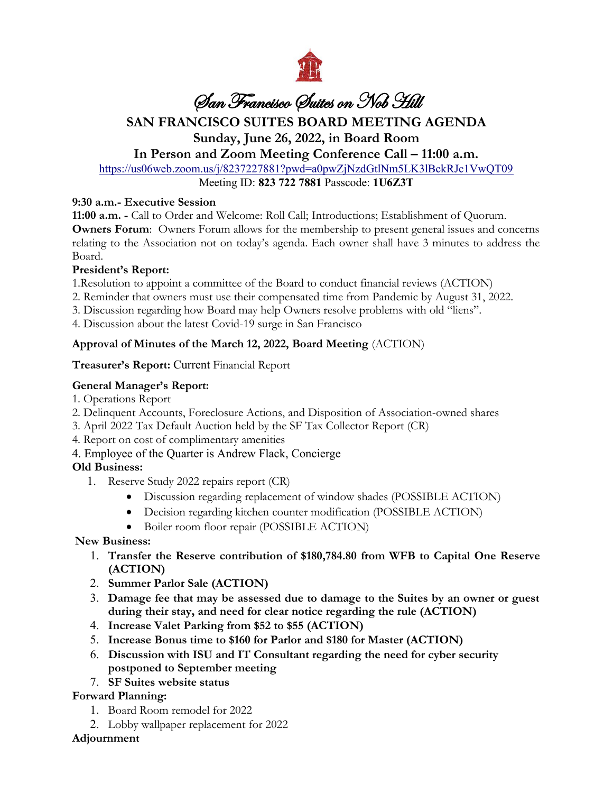

# San Francisco Suites on Nob Hill

## **SAN FRANCISCO SUITES BOARD MEETING AGENDA**

## **Sunday, June 26, 2022, in Board Room**

## **In Person and Zoom Meeting Conference Call – 11:00 a.m.**

<https://us06web.zoom.us/j/8237227881?pwd=a0pwZjNzdGtlNm5LK3lBckRJc1VwQT09>

Meeting ID: **823 722 7881** Passcode: **1U6Z3T**

#### **9:30 a.m.- Executive Session**

**11:00 a.m. -** Call to Order and Welcome: Roll Call; Introductions; Establishment of Quorum. **Owners Forum:** Owners Forum allows for the membership to present general issues and concerns relating to the Association not on today's agenda. Each owner shall have 3 minutes to address the Board.

## **President's Report:**

1.Resolution to appoint a committee of the Board to conduct financial reviews (ACTION)

- 2. Reminder that owners must use their compensated time from Pandemic by August 31, 2022.
- 3. Discussion regarding how Board may help Owners resolve problems with old "liens".
- 4. Discussion about the latest Covid-19 surge in San Francisco

## **Approval of Minutes of the March 12, 2022, Board Meeting** (ACTION)

#### **Treasurer's Report:** Current Financial Report

## **General Manager's Report:**

- 1. Operations Report
- 2. Delinquent Accounts, Foreclosure Actions, and Disposition of Association-owned shares
- 3. April 2022 Tax Default Auction held by the SF Tax Collector Report (CR)
- 4. Report on cost of complimentary amenities
- 4. Employee of the Quarter is Andrew Flack, Concierge

## **Old Business:**

- 1. Reserve Study 2022 repairs report (CR)
	- Discussion regarding replacement of window shades (POSSIBLE ACTION)
	- Decision regarding kitchen counter modification (POSSIBLE ACTION)
	- Boiler room floor repair (POSSIBLE ACTION)

## **New Business:**

- 1. **Transfer the Reserve contribution of \$180,784.80 from WFB to Capital One Reserve (ACTION)**
- 2. **Summer Parlor Sale (ACTION)**
- 3. **Damage fee that may be assessed due to damage to the Suites by an owner or guest during their stay, and need for clear notice regarding the rule (ACTION)**
- 4. **Increase Valet Parking from \$52 to \$55 (ACTION)**
- 5. **Increase Bonus time to \$160 for Parlor and \$180 for Master (ACTION)**
- 6. **Discussion with ISU and IT Consultant regarding the need for cyber security postponed to September meeting**
- 7. **SF Suites website status**

## **Forward Planning:**

- 1. Board Room remodel for 2022
- 2. Lobby wallpaper replacement for 2022

## **Adjournment**